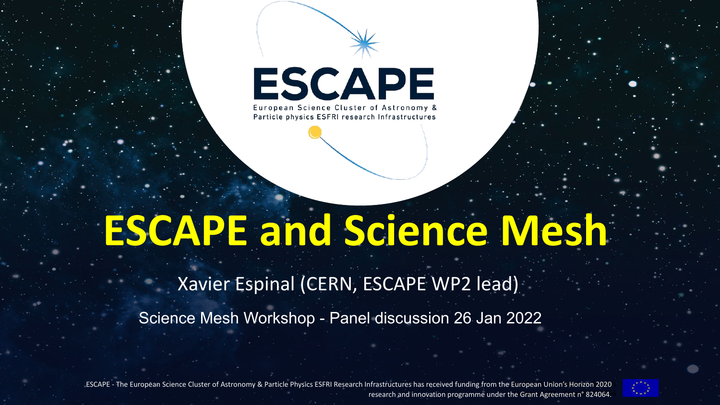

European Science Cluster of Astronomy & Particle physics ESFRI research Infrastructures

## **ESCAPE and Science Mesh**

Xavier Espinal (CERN, ESCAPE WP2 lead)

Science Mesh Workshop - Panel discussion 26 Jan 2022

ESCAPE - The European Science Cluster of Astronomy & Particle Physics ESFRI Research Infrastructures has received funding from the European Union's Horizon 2020 research and innovation programme under the Grant Agreement n° 824064.<sup>1</sup>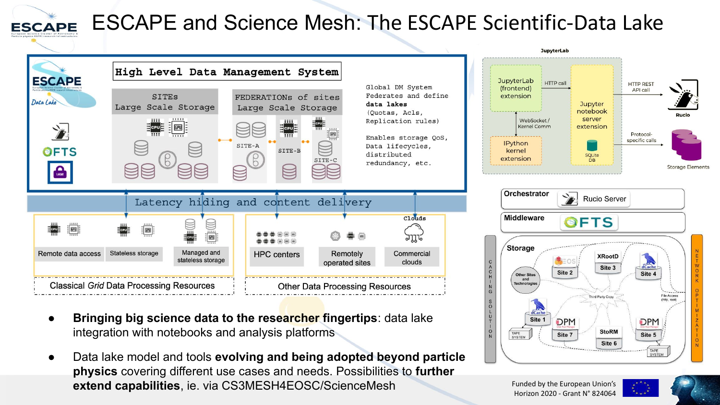

## ESCAPE and Science Mesh: The ESCAPE Scientific-Data Lake



- **Bringing big science data to the researcher fingertips:** data lake integration with notebooks and analysis platforms
- Data lake model and tools **evolving and being adopted beyond particle physics** covering different use cases and needs. Possibilities to **further extend capabilities**, ie. via CS3MESH4EOSC/ScienceMesh



**DPM** 

Site 7

Site 1

TAPE<br>SYSTEM



TAPE<br>SYSTEM

**DPM** 

Site 5

**StoRM** 

Site 6